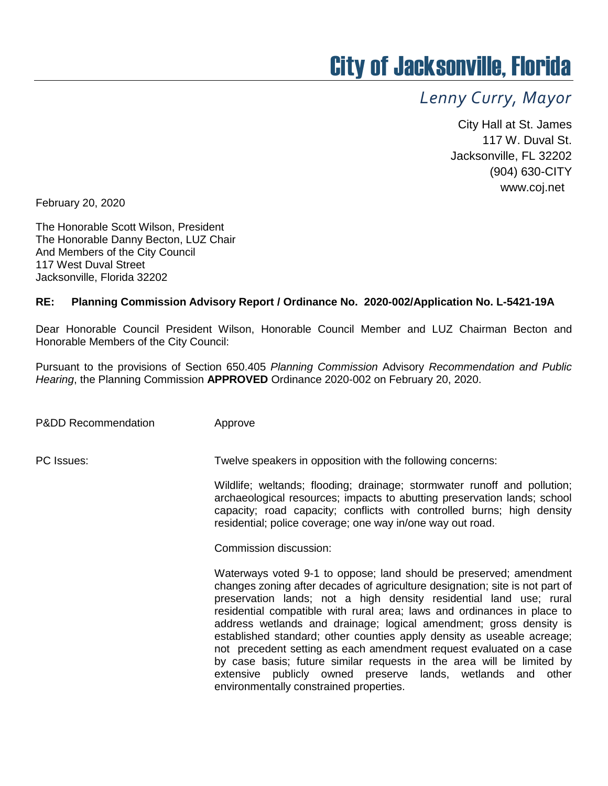## City of Jacksonville, Florida

## *Lenny Curry, Mayor*

City Hall at St. James 117 W. Duval St. Jacksonville, FL 32202 (904) 630-CITY www.coj.net

February 20, 2020

The Honorable Scott Wilson, President The Honorable Danny Becton, LUZ Chair And Members of the City Council 117 West Duval Street Jacksonville, Florida 32202

## **RE: Planning Commission Advisory Report / Ordinance No. 2020-002/Application No. L-5421-19A**

Dear Honorable Council President Wilson, Honorable Council Member and LUZ Chairman Becton and Honorable Members of the City Council:

Pursuant to the provisions of Section 650.405 *Planning Commission* Advisory *Recommendation and Public Hearing*, the Planning Commission **APPROVED** Ordinance 2020-002 on February 20, 2020.

P&DD Recommendation Approve

PC Issues: Twelve speakers in opposition with the following concerns:

Wildlife; weltands; flooding; drainage; stormwater runoff and pollution; archaeological resources; impacts to abutting preservation lands; school capacity; road capacity; conflicts with controlled burns; high density residential; police coverage; one way in/one way out road.

Commission discussion:

Waterways voted 9-1 to oppose; land should be preserved; amendment changes zoning after decades of agriculture designation; site is not part of preservation lands; not a high density residential land use; rural residential compatible with rural area; laws and ordinances in place to address wetlands and drainage; logical amendment; gross density is established standard; other counties apply density as useable acreage; not precedent setting as each amendment request evaluated on a case by case basis; future similar requests in the area will be limited by extensive publicly owned preserve lands, wetlands and other environmentally constrained properties.